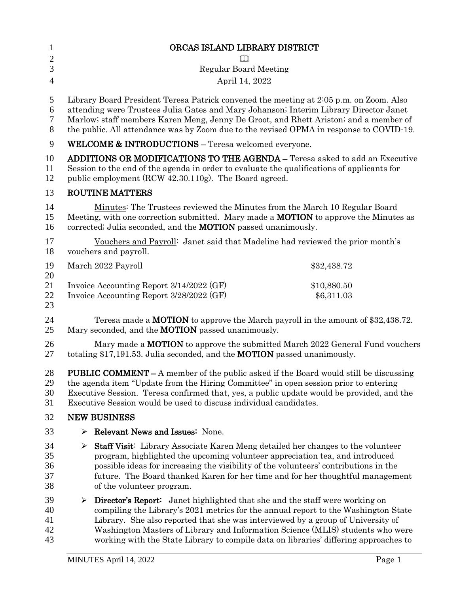| $\mathbf{1}$   | ORCAS ISLAND LIBRARY DISTRICT                                                                                                                                                                                                                     |             |
|----------------|---------------------------------------------------------------------------------------------------------------------------------------------------------------------------------------------------------------------------------------------------|-------------|
| $\overline{c}$ |                                                                                                                                                                                                                                                   |             |
| 3              | <b>Regular Board Meeting</b>                                                                                                                                                                                                                      |             |
| $\overline{4}$ | April 14, 2022                                                                                                                                                                                                                                    |             |
| 5              | Library Board President Teresa Patrick convened the meeting at 2:05 p.m. on Zoom. Also                                                                                                                                                            |             |
| 6              | attending were Trustees Julia Gates and Mary Johanson; Interim Library Director Janet                                                                                                                                                             |             |
| 7              | Marlow; staff members Karen Meng, Jenny De Groot, and Rhett Ariston; and a member of                                                                                                                                                              |             |
| 8              | the public. All attendance was by Zoom due to the revised OPMA in response to COVID-19.                                                                                                                                                           |             |
| 9              | <b>WELCOME &amp; INTRODUCTIONS - Teresa welcomed everyone.</b>                                                                                                                                                                                    |             |
| 10<br>11<br>12 | <b>ADDITIONS OR MODIFICATIONS TO THE AGENDA - Teresa asked to add an Executive</b><br>Session to the end of the agenda in order to evaluate the qualifications of applicants for<br>public employment (RCW 42.30.110g). The Board agreed.         |             |
| 13             | <b>ROUTINE MATTERS</b>                                                                                                                                                                                                                            |             |
| 14<br>15<br>16 | Minutes: The Trustees reviewed the Minutes from the March 10 Regular Board<br>Meeting, with one correction submitted. Mary made a <b>MOTION</b> to approve the Minutes as<br>corrected; Julia seconded, and the <b>MOTION</b> passed unanimously. |             |
| 17<br>18       | Vouchers and Payroll: Janet said that Madeline had reviewed the prior month's<br>vouchers and payroll.                                                                                                                                            |             |
| 19<br>20       | March 2022 Payroll                                                                                                                                                                                                                                | \$32,438.72 |
| 21             | Invoice Accounting Report 3/14/2022 (GF)                                                                                                                                                                                                          | \$10,880.50 |
| 22             | Invoice Accounting Report 3/28/2022 (GF)                                                                                                                                                                                                          | \$6,311.03  |
| 23             |                                                                                                                                                                                                                                                   |             |
| 24<br>25       | Teresa made a MOTION to approve the March payroll in the amount of \$32,438.72.<br>Mary seconded, and the <b>MOTION</b> passed unanimously.                                                                                                       |             |
| 26<br>27       | Mary made a <b>MOTION</b> to approve the submitted March 2022 General Fund vouchers<br>totaling \$17,191.53. Julia seconded, and the MOTION passed unanimously.                                                                                   |             |
| 28             | <b>PUBLIC COMMENT</b> – A member of the public asked if the Board would still be discussing                                                                                                                                                       |             |
| 29             | the agenda item "Update from the Hiring Committee" in open session prior to entering                                                                                                                                                              |             |
| 30             | Executive Session. Teresa confirmed that, yes, a public update would be provided, and the                                                                                                                                                         |             |
| 31             | Executive Session would be used to discuss individual candidates.                                                                                                                                                                                 |             |
| 32             | <b>NEW BUSINESS</b>                                                                                                                                                                                                                               |             |
| 33             | Relevant News and Issues: None.<br>➤                                                                                                                                                                                                              |             |
| 34             | <b>Staff Visit:</b> Library Associate Karen Meng detailed her changes to the volunteer<br>➤                                                                                                                                                       |             |
| 35             | program, highlighted the upcoming volunteer appreciation tea, and introduced                                                                                                                                                                      |             |
| 36             | possible ideas for increasing the visibility of the volunteers' contributions in the                                                                                                                                                              |             |
| 37             | future. The Board thanked Karen for her time and for her thoughtful management                                                                                                                                                                    |             |
| 38             | of the volunteer program.                                                                                                                                                                                                                         |             |
| 39             | $\triangleright$ Director's Report: Janet highlighted that she and the staff were working on                                                                                                                                                      |             |
| 40             | compiling the Library's 2021 metrics for the annual report to the Washington State                                                                                                                                                                |             |
| 41             | Library. She also reported that she was interviewed by a group of University of                                                                                                                                                                   |             |
| 42             | Washington Masters of Library and Information Science (MLIS) students who were                                                                                                                                                                    |             |
| 43             | working with the State Library to compile data on libraries' differing approaches to                                                                                                                                                              |             |